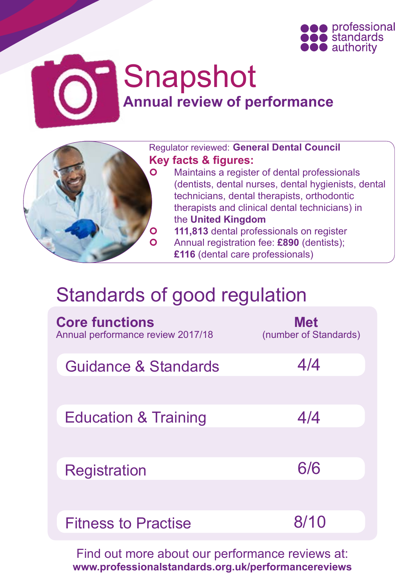



# Snapshot **Annual review of performance**



Regulator reviewed: **General Dental Council Key facts & figures: O** Maintains a register of dental professionals (dentists, dental nurses, dental hygienists, dental technicians, dental therapists, orthodontic therapists and clinical dental technicians) in the **United Kingdom 111,813** dental professionals on register Annual registration fee: **£890** (dentists); **£116** (dental care professionals)

## Standards of good regulation

| <b>Core functions</b><br>Annual performance review 2017/18 | <b>Met</b><br>(number of Standards) |
|------------------------------------------------------------|-------------------------------------|
| Guidance & Standards                                       | 4/4                                 |
| <b>Education &amp; Training</b>                            | 4/4                                 |
| <b>Registration</b>                                        | 6/6                                 |
| <b>Fitness to Practise</b>                                 | 8/10                                |

Find out more about our performance reviews at: **[www.professionalstandards.org.uk/performancereviews](http://www.professionalstandards.org.uk/performancereviews)**